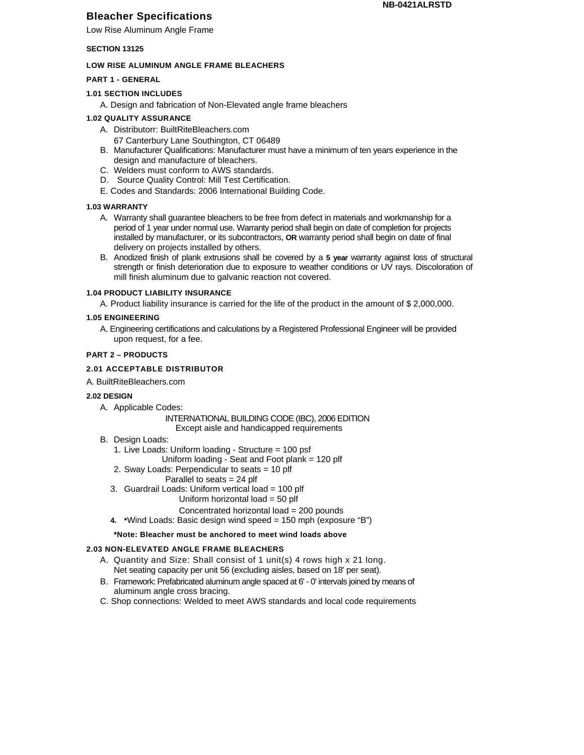# **Bleacher Specifications**

Low Rise Aluminum Angle Frame

### **SECTION 13125**

#### **LOW RISE ALUMINUM ANGLE FRAME BLEACHERS**

### **PART 1 - GENERAL**

### **1.01 SECTION INCLUDES**

A. Design and fabrication of Non-Elevated angle frame bleachers

### **1.02 QUALITY ASSURANCE**

- A. Distributorr: BuiltRiteBleachers.com
- 67 Canterbury Lane Southington, CT 06489
- B. Manufacturer Qualifications: Manufacturer must have a minimum of ten years experience in the design and manufacture of bleachers.
- C. Welders must conform to AWS standards.
- D. Source Quality Control: Mill Test Certification.
- E. Codes and Standards: 2006 International Building Code.

#### **1.03 WARRANTY**

- A. Warranty shall guarantee bleachers to be free from defect in materials and workmanship for a period of 1 year under normal use. Warranty period shall begin on date of completion for projects installed by manufacturer, or its subcontractors, **OR** warranty period shall begin on date of final delivery on projects installed by others.
- B. Anodized finish of plank extrusions shall be covered by a **5 year** warranty against loss of structural strength or finish deterioration due to exposure to weather conditions or UV rays. Discoloration of mill finish aluminum due to galvanic reaction not covered.

## **1.04 PRODUCT LIABILITY INSURANCE**

A. Product liability insurance is carried for the life of the product in the amount of \$ 2,000,000.

#### **1.05 ENGINEERING**

A. Engineering certifications and calculations by a Registered Professional Engineer will be provided upon request, for a fee.

#### **PART 2 – PRODUCTS**

## **2.01 ACCEPTABLE DISTRIBUTOR**

A. BuiltRiteBleachers.com

#### **2.02 DESIGN**

A. Applicable Codes:

### INTERNATIONAL BUILDING CODE (IBC), 2006 EDITION Except aisle and handicapped requirements

- B. Design Loads:
	- 1. Live Loads: Uniform loading Structure = 100 psf
		- Uniform loading Seat and Foot plank = 120 plf
	- 2. Sway Loads: Perpendicular to seats = 10 plf
		- Parallel to seats = 24 plf
	- 3. Guardrail Loads: Uniform vertical load = 100 plf
		- Uniform horizontal load = 50 plf

## Concentrated horizontal load = 200 pounds

**4. \***Wind Loads: Basic design wind speed = 150 mph (exposure "B")

## **\*Note: Bleacher must be anchored to meet wind loads above**

## **2.03 NON-ELEVATED ANGLE FRAME BLEACHERS**

- A. Quantity and Size: Shall consist of 1 unit(s) 4 rows high x 21 long. Net seating capacity per unit 56 (excluding aisles, based on 18' per seat).
- B. Framework: Prefabricated aluminum angle spaced at 6' 0' intervals joined by means of aluminum angle cross bracing.
- C. Shop connections: Welded to meet AWS standards and local code requirements